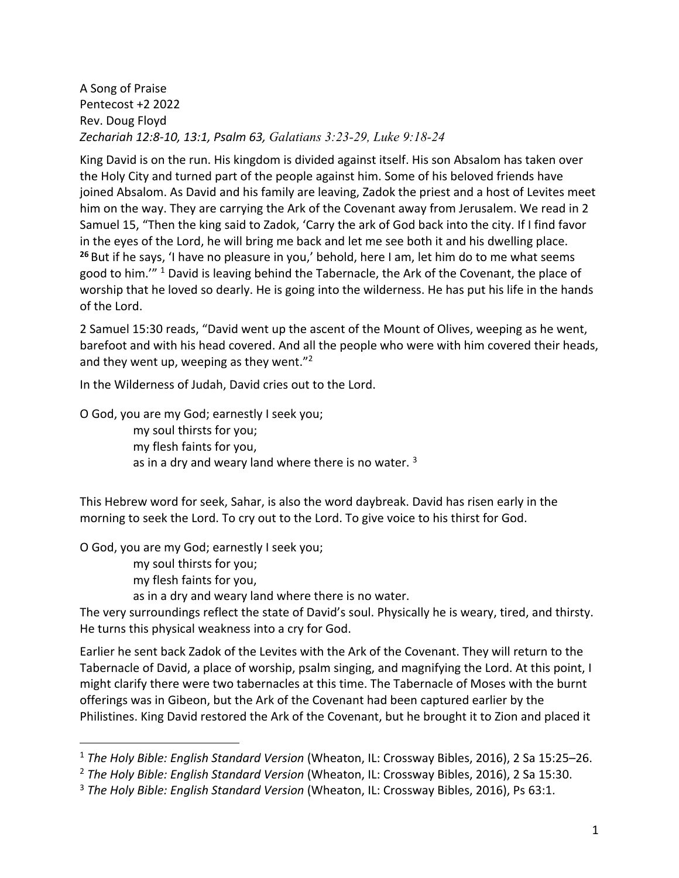A Song of Praise Pentecost +2 2022 Rev. Doug Floyd *Zechariah 12:8-10, 13:1, Psalm 63, Galatians 3:23-29, Luke 9:18-24*

King David is on the run. His kingdom is divided against itself. His son Absalom has taken over the Holy City and turned part of the people against him. Some of his beloved friends have joined Absalom. As David and his family are leaving, Zadok the priest and a host of Levites meet him on the way. They are carrying the Ark of the Covenant away from Jerusalem. We read in 2 Samuel 15, "Then the king said to Zadok, 'Carry the ark of God back into the city. If I find favor in the eyes of the Lord, he will bring me back and let me see both it and his dwelling place. **<sup>26</sup>** But if he says, 'I have no pleasure in you,' behold, here I am, let him do to me what seems good to him."" <sup>1</sup> David is leaving behind the Tabernacle, the Ark of the Covenant, the place of worship that he loved so dearly. He is going into the wilderness. He has put his life in the hands of the Lord.

2 Samuel 15:30 reads, "David went up the ascent of the Mount of Olives, weeping as he went, barefoot and with his head covered. And all the people who were with him covered their heads, and they went up, weeping as they went. $"^{2}$ 

In the Wilderness of Judah, David cries out to the Lord.

O God, you are my God; earnestly I seek you;

my soul thirsts for you; my flesh faints for you, as in a dry and weary land where there is no water.  $3$ 

This Hebrew word for seek, Sahar, is also the word daybreak. David has risen early in the morning to seek the Lord. To cry out to the Lord. To give voice to his thirst for God.

O God, you are my God; earnestly I seek you;

my soul thirsts for you;

my flesh faints for you,

as in a dry and weary land where there is no water.

The very surroundings reflect the state of David's soul. Physically he is weary, tired, and thirsty. He turns this physical weakness into a cry for God.

Earlier he sent back Zadok of the Levites with the Ark of the Covenant. They will return to the Tabernacle of David, a place of worship, psalm singing, and magnifying the Lord. At this point, I might clarify there were two tabernacles at this time. The Tabernacle of Moses with the burnt offerings was in Gibeon, but the Ark of the Covenant had been captured earlier by the Philistines. King David restored the Ark of the Covenant, but he brought it to Zion and placed it

<sup>1</sup> *The Holy Bible: English Standard Version* (Wheaton, IL: Crossway Bibles, 2016), 2 Sa 15:25–26.

<sup>2</sup> *The Holy Bible: English Standard Version* (Wheaton, IL: Crossway Bibles, 2016), 2 Sa 15:30.

<sup>3</sup> *The Holy Bible: English Standard Version* (Wheaton, IL: Crossway Bibles, 2016), Ps 63:1.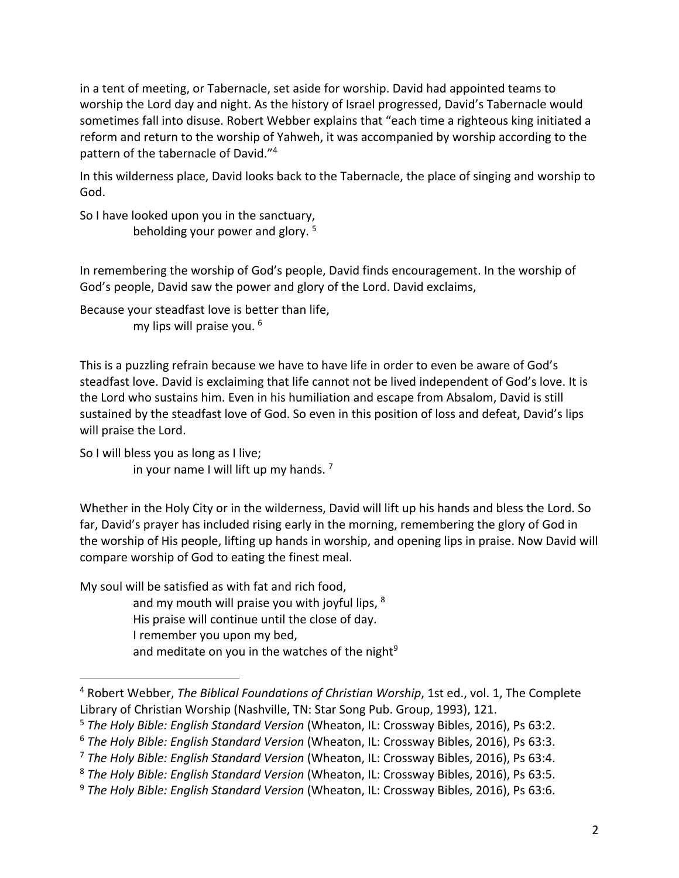in a tent of meeting, or Tabernacle, set aside for worship. David had appointed teams to worship the Lord day and night. As the history of Israel progressed, David's Tabernacle would sometimes fall into disuse. Robert Webber explains that "each time a righteous king initiated a reform and return to the worship of Yahweh, it was accompanied by worship according to the pattern of the tabernacle of David."4

In this wilderness place, David looks back to the Tabernacle, the place of singing and worship to God.

So I have looked upon you in the sanctuary, beholding your power and glory. 5

In remembering the worship of God's people, David finds encouragement. In the worship of God's people, David saw the power and glory of the Lord. David exclaims,

Because your steadfast love is better than life, my lips will praise you. <sup>6</sup>

This is a puzzling refrain because we have to have life in order to even be aware of God's steadfast love. David is exclaiming that life cannot not be lived independent of God's love. It is the Lord who sustains him. Even in his humiliation and escape from Absalom, David is still sustained by the steadfast love of God. So even in this position of loss and defeat, David's lips will praise the Lord.

So I will bless you as long as I live; in your name I will lift up my hands. 7

Whether in the Holy City or in the wilderness, David will lift up his hands and bless the Lord. So far, David's prayer has included rising early in the morning, remembering the glory of God in the worship of His people, lifting up hands in worship, and opening lips in praise. Now David will compare worship of God to eating the finest meal.

My soul will be satisfied as with fat and rich food, and my mouth will praise you with joyful lips, 8 His praise will continue until the close of day. I remember you upon my bed, and meditate on you in the watches of the night<sup>9</sup>

<sup>4</sup> Robert Webber, *The Biblical Foundations of Christian Worship*, 1st ed., vol. 1, The Complete Library of Christian Worship (Nashville, TN: Star Song Pub. Group, 1993), 121.

<sup>5</sup> *The Holy Bible: English Standard Version* (Wheaton, IL: Crossway Bibles, 2016), Ps 63:2.

<sup>6</sup> *The Holy Bible: English Standard Version* (Wheaton, IL: Crossway Bibles, 2016), Ps 63:3.

<sup>7</sup> *The Holy Bible: English Standard Version* (Wheaton, IL: Crossway Bibles, 2016), Ps 63:4.

<sup>8</sup> *The Holy Bible: English Standard Version* (Wheaton, IL: Crossway Bibles, 2016), Ps 63:5.

<sup>9</sup> *The Holy Bible: English Standard Version* (Wheaton, IL: Crossway Bibles, 2016), Ps 63:6.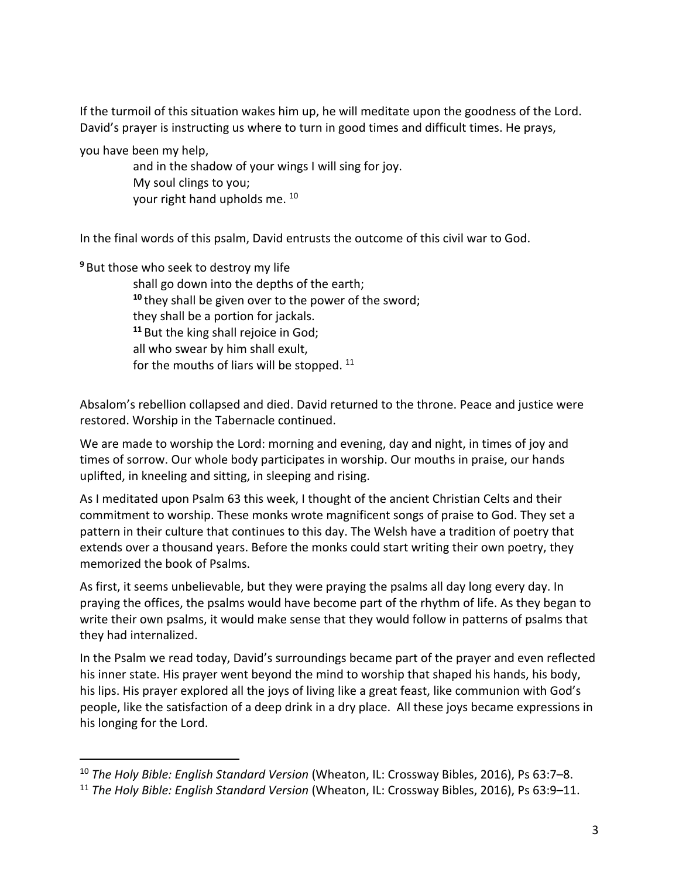If the turmoil of this situation wakes him up, he will meditate upon the goodness of the Lord. David's prayer is instructing us where to turn in good times and difficult times. He prays,

you have been my help,

and in the shadow of your wings I will sing for joy. My soul clings to you; your right hand upholds me. 10

In the final words of this psalm, David entrusts the outcome of this civil war to God.

**<sup>9</sup>** But those who seek to destroy my life shall go down into the depths of the earth; **<sup>10</sup>** they shall be given over to the power of the sword; they shall be a portion for jackals. **<sup>11</sup>** But the king shall rejoice in God; all who swear by him shall exult, for the mouths of liars will be stopped.  $11$ 

Absalom's rebellion collapsed and died. David returned to the throne. Peace and justice were restored. Worship in the Tabernacle continued.

We are made to worship the Lord: morning and evening, day and night, in times of joy and times of sorrow. Our whole body participates in worship. Our mouths in praise, our hands uplifted, in kneeling and sitting, in sleeping and rising.

As I meditated upon Psalm 63 this week, I thought of the ancient Christian Celts and their commitment to worship. These monks wrote magnificent songs of praise to God. They set a pattern in their culture that continues to this day. The Welsh have a tradition of poetry that extends over a thousand years. Before the monks could start writing their own poetry, they memorized the book of Psalms.

As first, it seems unbelievable, but they were praying the psalms all day long every day. In praying the offices, the psalms would have become part of the rhythm of life. As they began to write their own psalms, it would make sense that they would follow in patterns of psalms that they had internalized.

In the Psalm we read today, David's surroundings became part of the prayer and even reflected his inner state. His prayer went beyond the mind to worship that shaped his hands, his body, his lips. His prayer explored all the joys of living like a great feast, like communion with God's people, like the satisfaction of a deep drink in a dry place. All these joys became expressions in his longing for the Lord.

<sup>10</sup> *The Holy Bible: English Standard Version* (Wheaton, IL: Crossway Bibles, 2016), Ps 63:7–8.

<sup>11</sup> *The Holy Bible: English Standard Version* (Wheaton, IL: Crossway Bibles, 2016), Ps 63:9–11.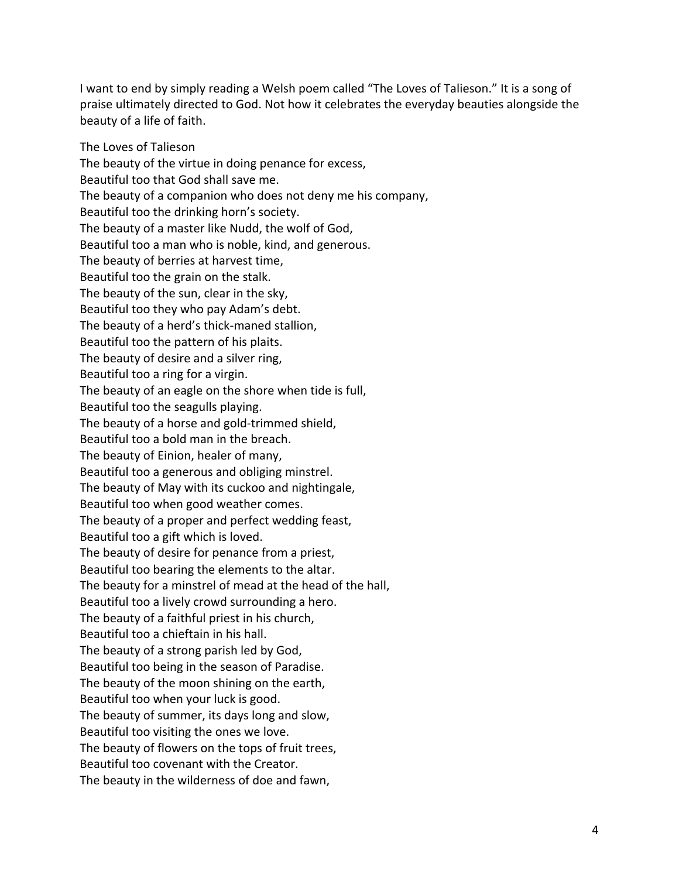I want to end by simply reading a Welsh poem called "The Loves of Talieson." It is a song of praise ultimately directed to God. Not how it celebrates the everyday beauties alongside the beauty of a life of faith.

The Loves of Talieson The beauty of the virtue in doing penance for excess, Beautiful too that God shall save me. The beauty of a companion who does not deny me his company, Beautiful too the drinking horn's society. The beauty of a master like Nudd, the wolf of God, Beautiful too a man who is noble, kind, and generous. The beauty of berries at harvest time, Beautiful too the grain on the stalk. The beauty of the sun, clear in the sky, Beautiful too they who pay Adam's debt. The beauty of a herd's thick-maned stallion, Beautiful too the pattern of his plaits. The beauty of desire and a silver ring, Beautiful too a ring for a virgin. The beauty of an eagle on the shore when tide is full, Beautiful too the seagulls playing. The beauty of a horse and gold-trimmed shield, Beautiful too a bold man in the breach. The beauty of Einion, healer of many, Beautiful too a generous and obliging minstrel. The beauty of May with its cuckoo and nightingale, Beautiful too when good weather comes. The beauty of a proper and perfect wedding feast, Beautiful too a gift which is loved. The beauty of desire for penance from a priest, Beautiful too bearing the elements to the altar. The beauty for a minstrel of mead at the head of the hall, Beautiful too a lively crowd surrounding a hero. The beauty of a faithful priest in his church, Beautiful too a chieftain in his hall. The beauty of a strong parish led by God, Beautiful too being in the season of Paradise. The beauty of the moon shining on the earth, Beautiful too when your luck is good. The beauty of summer, its days long and slow, Beautiful too visiting the ones we love. The beauty of flowers on the tops of fruit trees, Beautiful too covenant with the Creator. The beauty in the wilderness of doe and fawn,